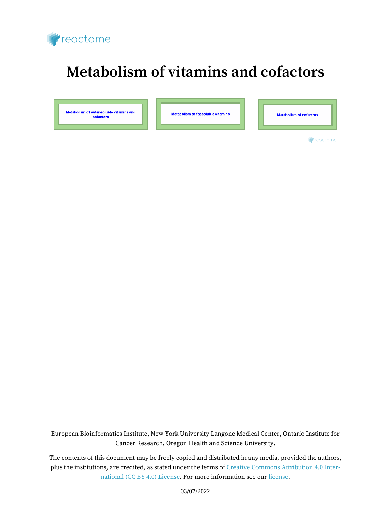

# **Metabolism of vitamins and cofactors**

Metabolism of water-soluble vitamins and<br>cofactors

Metabolism of fat-soluble vitamins

Metabolism of cofactors

**Freactome** 

European Bioinformatics Institute, New York University Langone Medical Center, Ontario Institute for Cancer Research, Oregon Health and Science University.

The contents of this document may be freely copied and distributed in any media, provided the authors, plus the institutions, are credited, as stated under the terms of [Creative Commons Attribution 4.0 Inter](https://creativecommons.org/licenses/by/4.0/)[national \(CC BY 4.0\) License](https://creativecommons.org/licenses/by/4.0/). For more information see our [license](https://reactome.org/license).

03/07/2022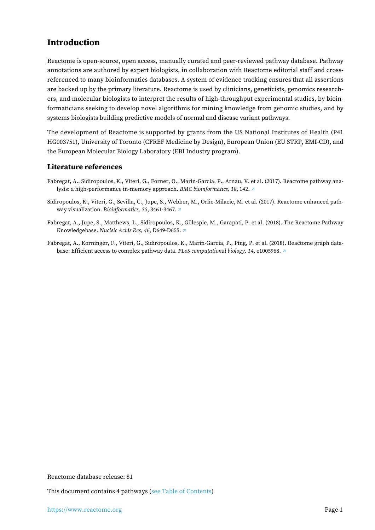# <span id="page-1-0"></span>**Introduction**

Reactome is open-source, open access, manually curated and peer-reviewed pathway database. Pathway annotations are authored by expert biologists, in collaboration with Reactome editorial staff and crossreferenced to many bioinformatics databases. A system of evidence tracking ensures that all assertions are backed up by the primary literature. Reactome is used by clinicians, geneticists, genomics researchers, and molecular biologists to interpret the results of high-throughput experimental studies, by bioinformaticians seeking to develop novel algorithms for mining knowledge from genomic studies, and by systems biologists building predictive models of normal and disease variant pathways.

The development of Reactome is supported by grants from the US National Institutes of Health (P41 HG003751), University of Toronto (CFREF Medicine by Design), European Union (EU STRP, EMI-CD), and the European Molecular Biology Laboratory (EBI Industry program).

### **Literature references**

- Fabregat, A., Sidiropoulos, K., Viteri, G., Forner, O., Marin-Garcia, P., Arnau, V. et al. (2017). Reactome pathway analysis: a high-performance in-memory approach. *BMC bioinformatics, 18*, 142. [↗](http://www.ncbi.nlm.nih.gov/pubmed/28249561)
- Sidiropoulos, K., Viteri, G., Sevilla, C., Jupe, S., Webber, M., Orlic-Milacic, M. et al. (2017). Reactome enhanced pathway visualization. *Bioinformatics, 33*, 3461-3467. [↗](http://www.ncbi.nlm.nih.gov/pubmed/29077811)
- Fabregat, A., Jupe, S., Matthews, L., Sidiropoulos, K., Gillespie, M., Garapati, P. et al. (2018). The Reactome Pathway Knowledgebase. *Nucleic Acids Res, 46*, D649-D655. [↗](http://www.ncbi.nlm.nih.gov/pubmed/29145629)
- Fabregat, A., Korninger, F., Viteri, G., Sidiropoulos, K., Marin-Garcia, P., Ping, P. et al. (2018). Reactome graph database: Efficient access to complex pathway data. *PLoS computational biology, 14*, e1005968. [↗](http://www.ncbi.nlm.nih.gov/pubmed/29377902)

Reactome database release: 81

This document contains 4 pathways [\(see Table of Contents\)](#page-6-0)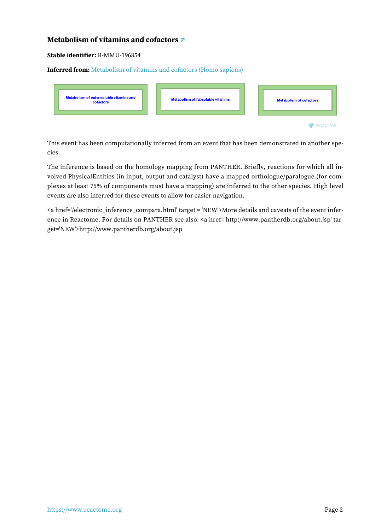# <span id="page-2-0"></span>**Metabolism of vitamins and cofactors [↗](https://www.reactome.org/content/detail/R-MMU-196854)**

#### **Stable identifier:** R-MMU-196854

#### **Inferred from:** [Metabolism of vitamins and cofactors \(Homo sapiens\)](https://www.reactome.org/content/detail/R-HSA-196854)

| Metabolism of water-soluble vitamins and<br>cofactors | Metabolism of fat-soluble vitamins |  | <b>Metabolism of cofactors</b> |
|-------------------------------------------------------|------------------------------------|--|--------------------------------|
|                                                       |                                    |  |                                |

This event has been computationally inferred from an event that has been demonstrated in another species.

The inference is based on the homology mapping from PANTHER. Briefly, reactions for which all involved PhysicalEntities (in input, output and catalyst) have a mapped orthologue/paralogue (for complexes at least 75% of components must have a mapping) are inferred to the other species. High level events are also inferred for these events to allow for easier navigation.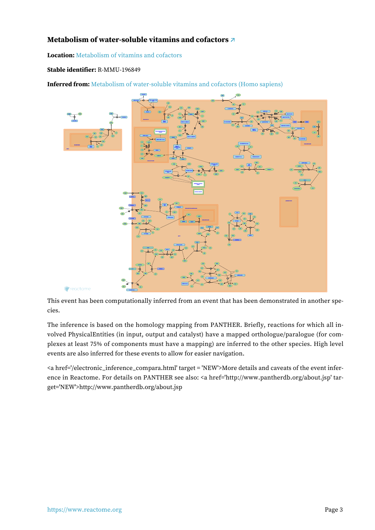# <span id="page-3-0"></span>**Metabolism of water-soluble vitamins and cofactors [↗](https://www.reactome.org/content/detail/R-MMU-196849)**

**Location:** [Metabolism of vitamins and cofactors](#page-2-0)

#### **Stable identifier:** R-MMU-196849

**Inferred from:** [Metabolism of water-soluble vitamins and cofactors \(Homo sapiens\)](https://www.reactome.org/content/detail/R-HSA-196849)



This event has been computationally inferred from an event that has been demonstrated in another species.

The inference is based on the homology mapping from PANTHER. Briefly, reactions for which all involved PhysicalEntities (in input, output and catalyst) have a mapped orthologue/paralogue (for complexes at least 75% of components must have a mapping) are inferred to the other species. High level events are also inferred for these events to allow for easier navigation.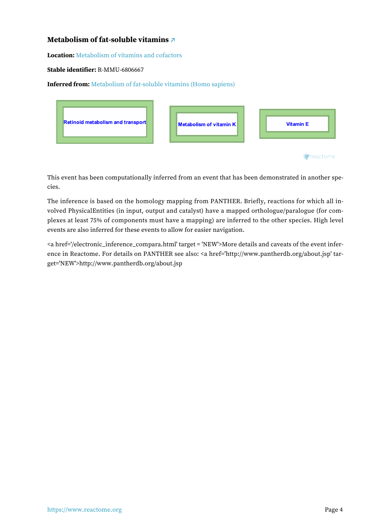# <span id="page-4-0"></span>**Metabolism of fat-soluble vitamins [↗](https://www.reactome.org/content/detail/R-MMU-6806667)**

**Location:** [Metabolism of vitamins and cofactors](#page-2-0)

#### **Stable identifier:** R-MMU-6806667

**Inferred from:** [Metabolism of fat-soluble vitamins \(Homo sapiens\)](https://www.reactome.org/content/detail/R-HSA-6806667)

| <b>Retinoid metabolism and transport</b> | Metabolism of vitamin K | <b>Vitamin E</b> |
|------------------------------------------|-------------------------|------------------|
|                                          |                         | *reactome:       |

This event has been computationally inferred from an event that has been demonstrated in another species.

The inference is based on the homology mapping from PANTHER. Briefly, reactions for which all involved PhysicalEntities (in input, output and catalyst) have a mapped orthologue/paralogue (for complexes at least 75% of components must have a mapping) are inferred to the other species. High level events are also inferred for these events to allow for easier navigation.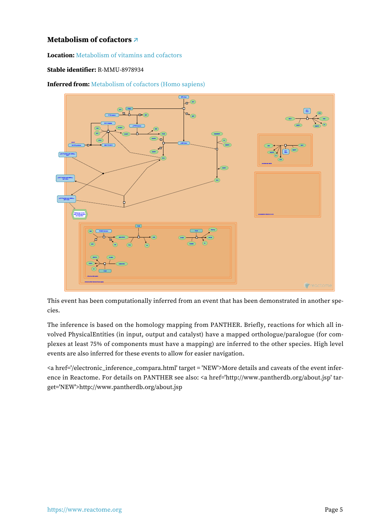# <span id="page-5-0"></span>**Metabolism of cofactors [↗](https://www.reactome.org/content/detail/R-MMU-8978934)**

**Location:** [Metabolism of vitamins and cofactors](#page-2-0)

#### **Stable identifier:** R-MMU-8978934

**Inferred from:** [Metabolism of cofactors \(Homo sapiens\)](https://www.reactome.org/content/detail/R-HSA-8978934)



This event has been computationally inferred from an event that has been demonstrated in another species.

The inference is based on the homology mapping from PANTHER. Briefly, reactions for which all involved PhysicalEntities (in input, output and catalyst) have a mapped orthologue/paralogue (for complexes at least 75% of components must have a mapping) are inferred to the other species. High level events are also inferred for these events to allow for easier navigation.